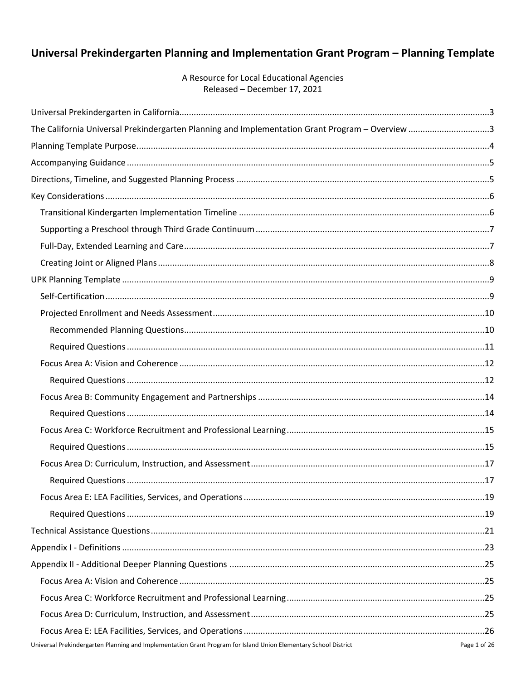# Universal Prekindergarten Planning and Implementation Grant Program - Planning Template

A Resource for Local Educational Agencies Released - December 17, 2021

| The California Universal Prekindergarten Planning and Implementation Grant Program - Overview 3                 |              |
|-----------------------------------------------------------------------------------------------------------------|--------------|
|                                                                                                                 |              |
|                                                                                                                 |              |
|                                                                                                                 |              |
|                                                                                                                 |              |
|                                                                                                                 |              |
|                                                                                                                 |              |
|                                                                                                                 |              |
|                                                                                                                 |              |
|                                                                                                                 |              |
|                                                                                                                 |              |
|                                                                                                                 |              |
|                                                                                                                 |              |
|                                                                                                                 |              |
|                                                                                                                 |              |
|                                                                                                                 |              |
|                                                                                                                 |              |
|                                                                                                                 |              |
|                                                                                                                 |              |
|                                                                                                                 |              |
|                                                                                                                 |              |
|                                                                                                                 |              |
|                                                                                                                 |              |
|                                                                                                                 |              |
|                                                                                                                 |              |
|                                                                                                                 |              |
|                                                                                                                 |              |
|                                                                                                                 |              |
|                                                                                                                 |              |
|                                                                                                                 |              |
|                                                                                                                 |              |
| Universal Prekindergarten Planning and Implementation Grant Program for Island Union Elementary School District | Page 1 of 26 |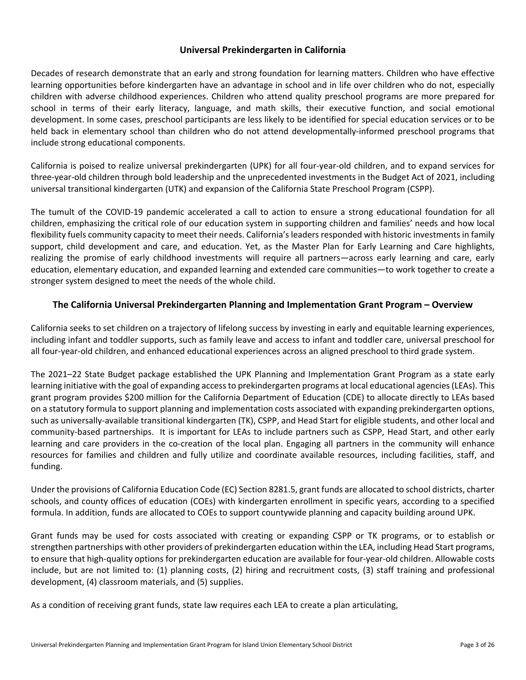## <span id="page-2-0"></span>**Universal Prekindergarten in California**

Decades of research demonstrate that an early and strong foundation for learning matters. Children who have effective learning opportunities before kindergarten have an advantage in school and in life over children who do not, especially children with adverse childhood experiences. Children who attend quality preschool programs are more prepared for school in terms of their early literacy, language, and math skills, their executive function, and social emotional development. In some cases, preschool participants are less likely to be identified for special education services or to be held back in elementary school than children who do not attend developmentally-informed preschool programs that include strong educational components.

California is poised to realize universal prekindergarten (UPK) for all four-year-old children, and to expand services for three-year-old children through bold leadership and the unprecedented investments in the Budget Act of 2021, including universal transitional kindergarten (UTK) and expansion of the California State Preschool Program (CSPP).

The tumult of the COVID-19 pandemic accelerated a call to action to ensure a strong educational foundation for all children, emphasizing the critical role of our education system in supporting children and families' needs and how local flexibility fuels community capacity to meet their needs. California's leaders responded with historic investments in family support, child development and care, and education. Yet, as the Master Plan for Early Learning and Care highlights, realizing the promise of early childhood investments will require all partners—across early learning and care, early education, elementary education, and expanded learning and extended care communities—to work together to create a stronger system designed to meet the needs of the whole child.

# <span id="page-2-1"></span>**The California Universal Prekindergarten Planning and Implementation Grant Program – Overview**

California seeks to set children on a trajectory of lifelong success by investing in early and equitable learning experiences, including infant and toddler supports, such as family leave and access to infant and toddler care, universal preschool for all four-year-old children, and enhanced educational experiences across an aligned preschool to third grade system.

The 2021–22 State Budget package established the UPK Planning and Implementation Grant Program as a state early learning initiative with the goal of expanding access to prekindergarten programs at local educational agencies (LEAs). This grant program provides \$200 million for the California Department of Education (CDE) to allocate directly to LEAs based on a statutory formula to support planning and implementation costs associated with expanding prekindergarten options, such as universally-available transitional kindergarten (TK), CSPP, and Head Start for eligible students, and other local and community-based partnerships. It is important for LEAs to include partners such as CSPP, Head Start, and other early learning and care providers in the co-creation of the local plan. Engaging all partners in the community will enhance resources for families and children and fully utilize and coordinate available resources, including facilities, staff, and funding.

Under the provisions of California Education Code (EC) Section 8281.5, grant funds are allocated to school districts, charter schools, and county offices of education (COEs) with kindergarten enrollment in specific years, according to a specified formula. In addition, funds are allocated to COEs to support countywide planning and capacity building around UPK.

Grant funds may be used for costs associated with creating or expanding CSPP or TK programs, or to establish or strengthen partnerships with other providers of prekindergarten education within the LEA, including Head Start programs, to ensure that high-quality options for prekindergarten education are available for four-year-old children. Allowable costs include, but are not limited to: (1) planning costs, (2) hiring and recruitment costs, (3) staff training and professional development, (4) classroom materials, and (5) supplies.

As a condition of receiving grant funds, state law requires each LEA to create a plan articulating,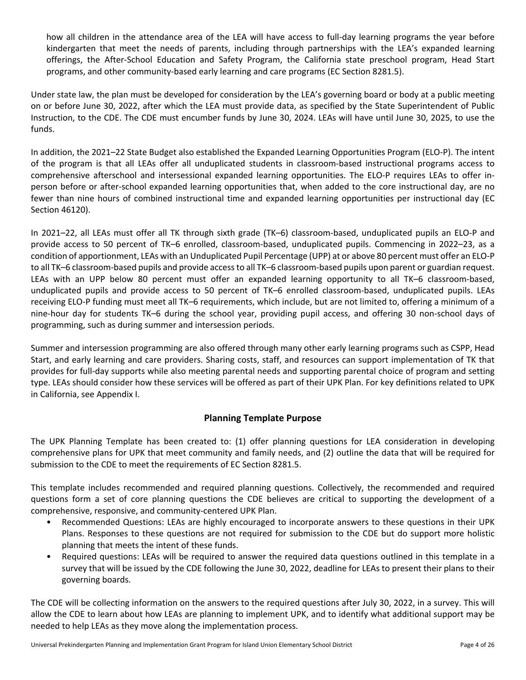how all children in the attendance area of the LEA will have access to full-day learning programs the year before kindergarten that meet the needs of parents, including through partnerships with the LEA's expanded learning offerings, the After-School Education and Safety Program, the California state preschool program, Head Start programs, and other community-based early learning and care programs (EC Section 8281.5).

Under state law, the plan must be developed for consideration by the LEA's governing board or body at a public meeting on or before June 30, 2022, after which the LEA must provide data, as specified by the State Superintendent of Public Instruction, to the CDE. The CDE must encumber funds by June 30, 2024. LEAs will have until June 30, 2025, to use the funds.

In addition, the 2021–22 State Budget also established the Expanded Learning Opportunities Program (ELO-P). The intent of the program is that all LEAs offer all unduplicated students in classroom-based instructional programs access to comprehensive afterschool and intersessional expanded learning opportunities. The ELO-P requires LEAs to offer inperson before or after-school expanded learning opportunities that, when added to the core instructional day, are no fewer than nine hours of combined instructional time and expanded learning opportunities per instructional day (EC Section 46120).

In 2021–22, all LEAs must offer all TK through sixth grade (TK–6) classroom-based, unduplicated pupils an ELO-P and provide access to 50 percent of TK–6 enrolled, classroom-based, unduplicated pupils. Commencing in 2022–23, as a condition of apportionment, LEAs with an Unduplicated Pupil Percentage (UPP) at or above 80 percent must offer an ELO-P to all TK–6 classroom-based pupils and provide access to all TK–6 classroom-based pupils upon parent or guardian request. LEAs with an UPP below 80 percent must offer an expanded learning opportunity to all TK–6 classroom-based, unduplicated pupils and provide access to 50 percent of TK–6 enrolled classroom-based, unduplicated pupils. LEAs receiving ELO-P funding must meet all TK–6 requirements, which include, but are not limited to, offering a minimum of a nine-hour day for students TK–6 during the school year, providing pupil access, and offering 30 non-school days of programming, such as during summer and intersession periods.

Summer and intersession programming are also offered through many other early learning programs such as CSPP, Head Start, and early learning and care providers. Sharing costs, staff, and resources can support implementation of TK that provides for full-day supports while also meeting parental needs and supporting parental choice of program and setting type. LEAs should consider how these services will be offered as part of their UPK Plan. For key definitions related to UPK in California, see Appendix I.

# <span id="page-3-0"></span>**Planning Template Purpose**

The UPK Planning Template has been created to: (1) offer planning questions for LEA consideration in developing comprehensive plans for UPK that meet community and family needs, and (2) outline the data that will be required for submission to the CDE to meet the requirements of EC Section 8281.5.

This template includes recommended and required planning questions. Collectively, the recommended and required questions form a set of core planning questions the CDE believes are critical to supporting the development of a comprehensive, responsive, and community-centered UPK Plan.

- Recommended Questions: LEAs are highly encouraged to incorporate answers to these questions in their UPK Plans. Responses to these questions are not required for submission to the CDE but do support more holistic planning that meets the intent of these funds.
- Required questions: LEAs will be required to answer the required data questions outlined in this template in a survey that will be issued by the CDE following the June 30, 2022, deadline for LEAs to present their plans to their governing boards.

The CDE will be collecting information on the answers to the required questions after July 30, 2022, in a survey. This will allow the CDE to learn about how LEAs are planning to implement UPK, and to identify what additional support may be needed to help LEAs as they move along the implementation process.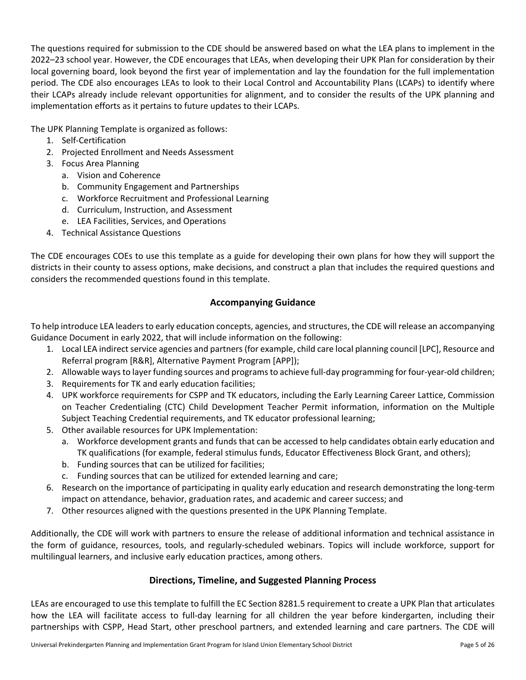The questions required for submission to the CDE should be answered based on what the LEA plans to implement in the 2022–23 school year. However, the CDE encourages that LEAs, when developing their UPK Plan for consideration by their local governing board, look beyond the first year of implementation and lay the foundation for the full implementation period. The CDE also encourages LEAs to look to their Local Control and Accountability Plans (LCAPs) to identify where their LCAPs already include relevant opportunities for alignment, and to consider the results of the UPK planning and implementation efforts as it pertains to future updates to their LCAPs.

The UPK Planning Template is organized as follows:

- 1. Self-Certification
- 2. Projected Enrollment and Needs Assessment
- 3. Focus Area Planning
	- a. Vision and Coherence
	- b. Community Engagement and Partnerships
	- c. Workforce Recruitment and Professional Learning
	- d. Curriculum, Instruction, and Assessment
	- e. LEA Facilities, Services, and Operations
- 4. Technical Assistance Questions

The CDE encourages COEs to use this template as a guide for developing their own plans for how they will support the districts in their county to assess options, make decisions, and construct a plan that includes the required questions and considers the recommended questions found in this template.

# <span id="page-4-0"></span>**Accompanying Guidance**

To help introduce LEA leaders to early education concepts, agencies, and structures, the CDE will release an accompanying Guidance Document in early 2022, that will include information on the following:

- 1. Local LEA indirect service agencies and partners (for example, child care local planning council [LPC], Resource and Referral program [R&R], Alternative Payment Program [APP]);
- 2. Allowable ways to layer funding sources and programs to achieve full-day programming for four-year-old children;
- 3. Requirements for TK and early education facilities;
- 4. UPK workforce requirements for CSPP and TK educators, including the Early Learning Career Lattice, Commission on Teacher Credentialing (CTC) Child Development Teacher Permit information, information on the Multiple Subject Teaching Credential requirements, and TK educator professional learning;
- 5. Other available resources for UPK Implementation:
	- a. Workforce development grants and funds that can be accessed to help candidates obtain early education and TK qualifications (for example, federal stimulus funds, Educator Effectiveness Block Grant, and others);
	- b. Funding sources that can be utilized for facilities;
	- c. Funding sources that can be utilized for extended learning and care;
- 6. Research on the importance of participating in quality early education and research demonstrating the long-term impact on attendance, behavior, graduation rates, and academic and career success; and
- 7. Other resources aligned with the questions presented in the UPK Planning Template.

Additionally, the CDE will work with partners to ensure the release of additional information and technical assistance in the form of guidance, resources, tools, and regularly-scheduled webinars. Topics will include workforce, support for multilingual learners, and inclusive early education practices, among others.

# <span id="page-4-1"></span>**Directions, Timeline, and Suggested Planning Process**

LEAs are encouraged to use this template to fulfill the EC Section 8281.5 requirement to create a UPK Plan that articulates how the LEA will facilitate access to full-day learning for all children the year before kindergarten, including their partnerships with CSPP, Head Start, other preschool partners, and extended learning and care partners. The CDE will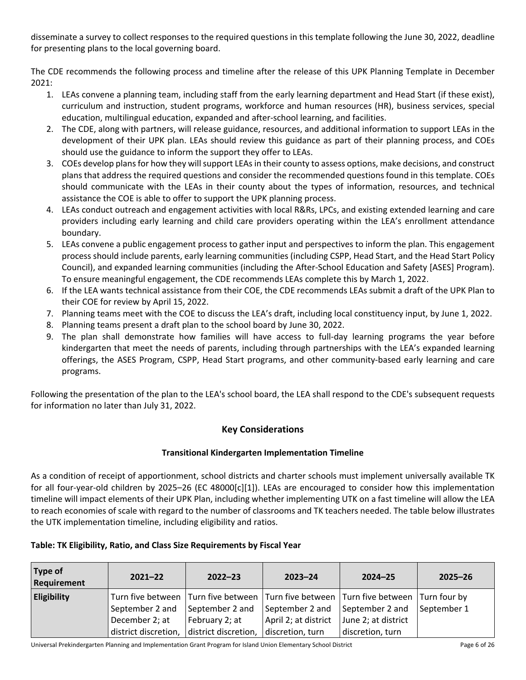disseminate a survey to collect responses to the required questions in this template following the June 30, 2022, deadline for presenting plans to the local governing board.

The CDE recommends the following process and timeline after the release of this UPK Planning Template in December 2021:

- 1. LEAs convene a planning team, including staff from the early learning department and Head Start (if these exist), curriculum and instruction, student programs, workforce and human resources (HR), business services, special education, multilingual education, expanded and after-school learning, and facilities.
- 2. The CDE, along with partners, will release guidance, resources, and additional information to support LEAs in the development of their UPK plan. LEAs should review this guidance as part of their planning process, and COEs should use the guidance to inform the support they offer to LEAs.
- 3. COEs develop plans for how they will support LEAs in their county to assess options, make decisions, and construct plans that address the required questions and consider the recommended questions found in this template. COEs should communicate with the LEAs in their county about the types of information, resources, and technical assistance the COE is able to offer to support the UPK planning process.
- 4. LEAs conduct outreach and engagement activities with local R&Rs, LPCs, and existing extended learning and care providers including early learning and child care providers operating within the LEA's enrollment attendance boundary.
- 5. LEAs convene a public engagement process to gather input and perspectives to inform the plan. This engagement process should include parents, early learning communities (including CSPP, Head Start, and the Head Start Policy Council), and expanded learning communities (including the After-School Education and Safety [ASES] Program). To ensure meaningful engagement, the CDE recommends LEAs complete this by March 1, 2022.
- 6. If the LEA wants technical assistance from their COE, the CDE recommends LEAs submit a draft of the UPK Plan to their COE for review by April 15, 2022.
- 7. Planning teams meet with the COE to discuss the LEA's draft, including local constituency input, by June 1, 2022.
- 8. Planning teams present a draft plan to the school board by June 30, 2022.
- 9. The plan shall demonstrate how families will have access to full-day learning programs the year before kindergarten that meet the needs of parents, including through partnerships with the LEA's expanded learning offerings, the ASES Program, CSPP, Head Start programs, and other community-based early learning and care programs.

Following the presentation of the plan to the LEA's school board, the LEA shall respond to the CDE's subsequent requests for information no later than July 31, 2022.

# <span id="page-5-0"></span>**Key Considerations**

# <span id="page-5-1"></span>**Transitional Kindergarten Implementation Timeline**

As a condition of receipt of apportionment, school districts and charter schools must implement universally available TK for all four-year-old children by 2025–26 (EC 48000[c][1]). LEAs are encouraged to consider how this implementation timeline will impact elements of their UPK Plan, including whether implementing UTK on a fast timeline will allow the LEA to reach economies of scale with regard to the number of classrooms and TK teachers needed. The table below illustrates the UTK implementation timeline, including eligibility and ratios.

# **Table: TK Eligibility, Ratio, and Class Size Requirements by Fiscal Year**

| Type of<br><b>Requirement</b> | $2021 - 22$                               | $2022 - 23$     | $2023 - 24$                                                                          | $2024 - 25$         | $2025 - 26$ |
|-------------------------------|-------------------------------------------|-----------------|--------------------------------------------------------------------------------------|---------------------|-------------|
| Eligibility                   |                                           |                 | Turn five between Turn five between Turn five between Turn five between Turn four by |                     |             |
|                               | September 2 and                           | September 2 and | September 2 and                                                                      | September 2 and     | September 1 |
|                               | December 2; at                            | February 2; at  | April 2; at district                                                                 | June 2; at district |             |
|                               | district discretion, district discretion, |                 | discretion, turn                                                                     | discretion, turn    |             |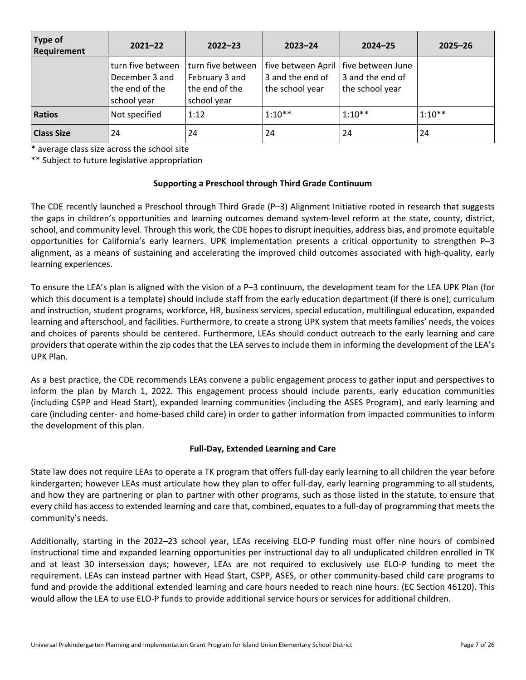| <b>Type of</b><br>Requirement | $2021 - 22$                                                          | $2022 - 23$                                                          | $2023 - 24$                                                                   | $2024 - 25$                         | $2025 - 26$ |
|-------------------------------|----------------------------------------------------------------------|----------------------------------------------------------------------|-------------------------------------------------------------------------------|-------------------------------------|-------------|
|                               | turn five between<br>December 3 and<br>the end of the<br>school year | turn five between<br>February 3 and<br>the end of the<br>school year | five between April   five between June<br>3 and the end of<br>the school year | 3 and the end of<br>the school year |             |
| <b>Ratios</b>                 | Not specified                                                        | 1:12                                                                 | $1:10**$                                                                      | $1:10**$                            | $1:10**$    |
| <b>Class Size</b>             | 24                                                                   | 24                                                                   | 24                                                                            | 24                                  | 24          |

\* average class size across the school site

\*\* Subject to future legislative appropriation

#### <span id="page-6-0"></span>**Supporting a Preschool through Third Grade Continuum**

The CDE recently launched a Preschool through Third Grade (P–3) Alignment Initiative rooted in research that suggests the gaps in children's opportunities and learning outcomes demand system-level reform at the state, county, district, school, and community level. Through this work, the CDE hopes to disrupt inequities, address bias, and promote equitable opportunities for California's early learners. UPK implementation presents a critical opportunity to strengthen P–3 alignment, as a means of sustaining and accelerating the improved child outcomes associated with high-quality, early learning experiences.

To ensure the LEA's plan is aligned with the vision of a P–3 continuum, the development team for the LEA UPK Plan (for which this document is a template) should include staff from the early education department (if there is one), curriculum and instruction, student programs, workforce, HR, business services, special education, multilingual education, expanded learning and afterschool, and facilities. Furthermore, to create a strong UPK system that meets families' needs, the voices and choices of parents should be centered. Furthermore, LEAs should conduct outreach to the early learning and care providers that operate within the zip codes that the LEA serves to include them in informing the development of the LEA's UPK Plan.

As a best practice, the CDE recommends LEAs convene a public engagement process to gather input and perspectives to inform the plan by March 1, 2022. This engagement process should include parents, early education communities (including CSPP and Head Start), expanded learning communities (including the ASES Program), and early learning and care (including center- and home-based child care) in order to gather information from impacted communities to inform the development of this plan.

#### <span id="page-6-1"></span>**Full-Day, Extended Learning and Care**

State law does not require LEAs to operate a TK program that offers full-day early learning to all children the year before kindergarten; however LEAs must articulate how they plan to offer full-day, early learning programming to all students, and how they are partnering or plan to partner with other programs, such as those listed in the statute, to ensure that every child has access to extended learning and care that, combined, equates to a full-day of programming that meets the community's needs.

Additionally, starting in the 2022–23 school year, LEAs receiving ELO-P funding must offer nine hours of combined instructional time and expanded learning opportunities per instructional day to all unduplicated children enrolled in TK and at least 30 intersession days; however, LEAs are not required to exclusively use ELO-P funding to meet the requirement. LEAs can instead partner with Head Start, CSPP, ASES, or other community-based child care programs to fund and provide the additional extended learning and care hours needed to reach nine hours. (EC Section 46120). This would allow the LEA to use ELO-P funds to provide additional service hours or services for additional children.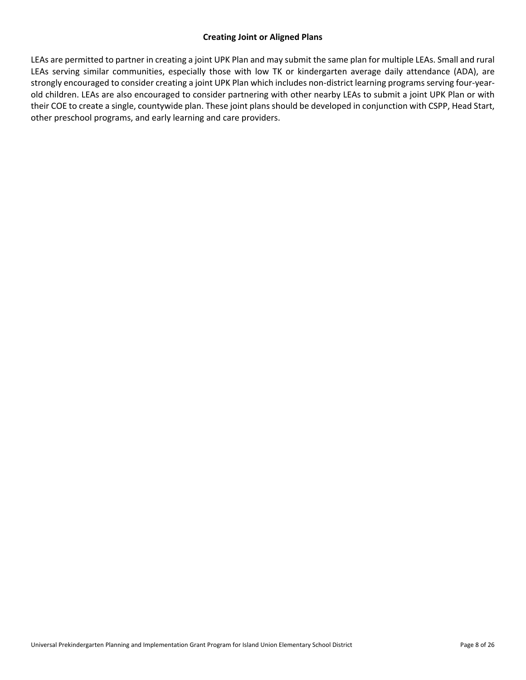#### <span id="page-7-0"></span>**Creating Joint or Aligned Plans**

LEAs are permitted to partner in creating a joint UPK Plan and may submit the same plan for multiple LEAs. Small and rural LEAs serving similar communities, especially those with low TK or kindergarten average daily attendance (ADA), are strongly encouraged to consider creating a joint UPK Plan which includes non-district learning programs serving four-yearold children. LEAs are also encouraged to consider partnering with other nearby LEAs to submit a joint UPK Plan or with their COE to create a single, countywide plan. These joint plans should be developed in conjunction with CSPP, Head Start, other preschool programs, and early learning and care providers.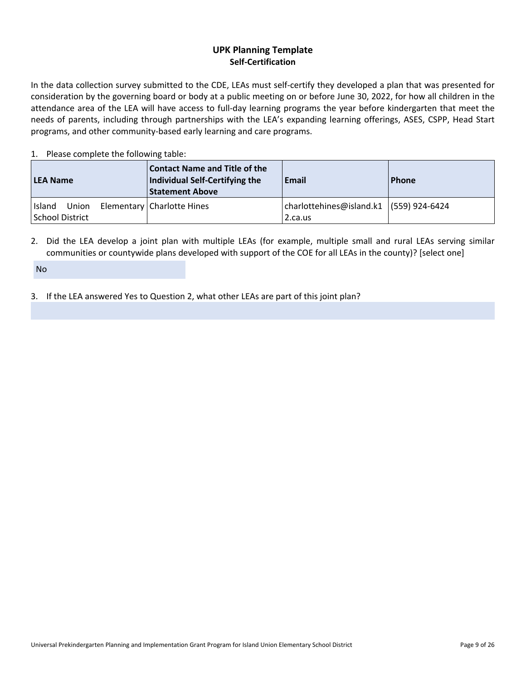# <span id="page-8-1"></span><span id="page-8-0"></span>**UPK Planning Template Self-Certification**

In the data collection survey submitted to the CDE, LEAs must self-certify they developed a plan that was presented for consideration by the governing board or body at a public meeting on or before June 30, 2022, for how all children in the attendance area of the LEA will have access to full-day learning programs the year before kindergarten that meet the needs of parents, including through partnerships with the LEA's expanding learning offerings, ASES, CSPP, Head Start programs, and other community-based early learning and care programs.

#### 1. Please complete the following table:

| <b>LEA Name</b>                    | Contact Name and Title of the<br>Individual Self-Certifying the<br>  Statement Above | Email                                                | <b>Phone</b> |  |
|------------------------------------|--------------------------------------------------------------------------------------|------------------------------------------------------|--------------|--|
| Union<br>Island<br>School District | Elementary   Charlotte Hines                                                         | charlottehines@island.k1   (559) 924-6424<br>2.ca.us |              |  |

2. Did the LEA develop a joint plan with multiple LEAs (for example, multiple small and rural LEAs serving similar communities or countywide plans developed with support of the COE for all LEAs in the county)? [select one]

No

3. If the LEA answered Yes to Question 2, what other LEAs are part of this joint plan?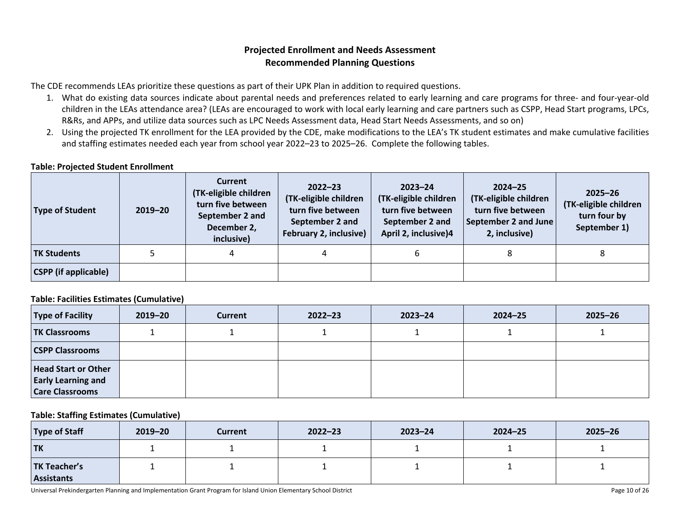# <span id="page-9-1"></span><span id="page-9-0"></span>**Projected Enrollment and Needs Assessment Recommended Planning Questions**

The CDE recommends LEAs prioritize these questions as part of their UPK Plan in addition to required questions.

- 1. What do existing data sources indicate about parental needs and preferences related to early learning and care programs for three- and four-year-old children in the LEAs attendance area? (LEAs are encouraged to work with local early learning and care partners such as CSPP, Head Start programs, LPCs, R&Rs, and APPs, and utilize data sources such as LPC Needs Assessment data, Head Start Needs Assessments, and so on)
- 2. Using the projected TK enrollment for the LEA provided by the CDE, make modifications to the LEA's TK student estimates and make cumulative facilities and staffing estimates needed each year from school year 2022–23 to 2025–26. Complete the following tables.

#### **Table: Projected Student Enrollment**

| Type of Student             | 2019-20 | <b>Current</b><br>(TK-eligible children<br>turn five between<br>September 2 and<br>December 2,<br>inclusive) | $2022 - 23$<br>(TK-eligible children<br>turn five between<br>September 2 and<br>February 2, inclusive) | $2023 - 24$<br>(TK-eligible children<br>turn five between<br>September 2 and<br>April 2, inclusive)4 | $2024 - 25$<br>(TK-eligible children<br>turn five between<br>September 2 and June<br>2, inclusive) | $2025 - 26$<br>(TK-eligible children<br>turn four by<br>September 1) |
|-----------------------------|---------|--------------------------------------------------------------------------------------------------------------|--------------------------------------------------------------------------------------------------------|------------------------------------------------------------------------------------------------------|----------------------------------------------------------------------------------------------------|----------------------------------------------------------------------|
| <b>TK Students</b>          |         | 4                                                                                                            |                                                                                                        | b                                                                                                    | 8                                                                                                  |                                                                      |
| <b>CSPP</b> (if applicable) |         |                                                                                                              |                                                                                                        |                                                                                                      |                                                                                                    |                                                                      |

#### **Table: Facilities Estimates (Cumulative)**

| <b>Type of Facility</b>                                                           | $2019 - 20$ | <b>Current</b> | $2022 - 23$ | $2023 - 24$ | $2024 - 25$ | $2025 - 26$ |
|-----------------------------------------------------------------------------------|-------------|----------------|-------------|-------------|-------------|-------------|
| <b>TK Classrooms</b>                                                              |             |                |             |             |             |             |
| <b>CSPP Classrooms</b>                                                            |             |                |             |             |             |             |
| <b>Head Start or Other</b><br><b>Early Learning and</b><br><b>Care Classrooms</b> |             |                |             |             |             |             |

#### **Table: Staffing Estimates (Cumulative)**

| Type of Staff                            | $2019 - 20$ | <b>Current</b> | $2022 - 23$ | $2023 - 24$ | $2024 - 25$ | $2025 - 26$ |
|------------------------------------------|-------------|----------------|-------------|-------------|-------------|-------------|
| <b>TK</b>                                |             |                |             |             |             |             |
| <b>TK Teacher's</b><br><b>Assistants</b> |             |                |             |             |             |             |

Universal Prekindergarten Planning and Implementation Grant Program for Island Union Elementary School District Page 10 of 26 and Union Elementary School District Page 10 of 26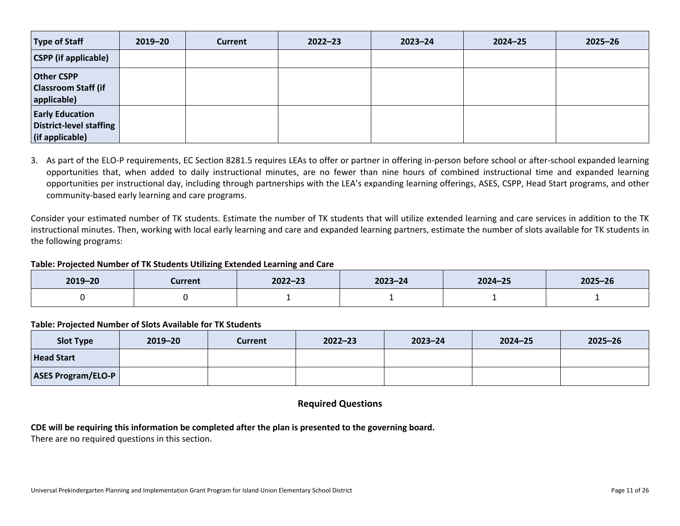| <b>Type of Staff</b>                                                 | 2019-20 | <b>Current</b> | $2022 - 23$ | $2023 - 24$ | $2024 - 25$ | $2025 - 26$ |
|----------------------------------------------------------------------|---------|----------------|-------------|-------------|-------------|-------------|
| <b>CSPP</b> (if applicable)                                          |         |                |             |             |             |             |
| <b>Other CSPP</b><br><b>Classroom Staff (if</b><br>applicable)       |         |                |             |             |             |             |
| <b>Early Education</b><br>District-level staffing<br>(if applicable) |         |                |             |             |             |             |

3. As part of the ELO-P requirements, EC Section 8281.5 requires LEAs to offer or partner in offering in-person before school or after-school expanded learning opportunities that, when added to daily instructional minutes, are no fewer than nine hours of combined instructional time and expanded learning opportunities per instructional day, including through partnerships with the LEA's expanding learning offerings, ASES, CSPP, Head Start programs, and other community-based early learning and care programs.

Consider your estimated number of TK students. Estimate the number of TK students that will utilize extended learning and care services in addition to the TK instructional minutes. Then, working with local early learning and care and expanded learning partners, estimate the number of slots available for TK students in the following programs:

#### **Table: Projected Number of TK Students Utilizing Extended Learning and Care**

| 2019-20 | Current | $2022 - 23$ | $2023 - 24$ | $2024 - 25$ | $2025 - 26$ |
|---------|---------|-------------|-------------|-------------|-------------|
|         |         |             |             |             |             |

#### **Table: Projected Number of Slots Available for TK Students**

| <b>Slot Type</b>          | $2019 - 20$ | <b>Current</b> | $2022 - 23$ | $2023 - 24$ | $2024 - 25$ | $2025 - 26$ |
|---------------------------|-------------|----------------|-------------|-------------|-------------|-------------|
| <b>Head Start</b>         |             |                |             |             |             |             |
| <b>ASES Program/ELO-P</b> |             |                |             |             |             |             |

#### <span id="page-10-0"></span>**Required Questions**

**CDE will be requiring this information be completed after the plan is presented to the governing board.** There are no required questions in this section.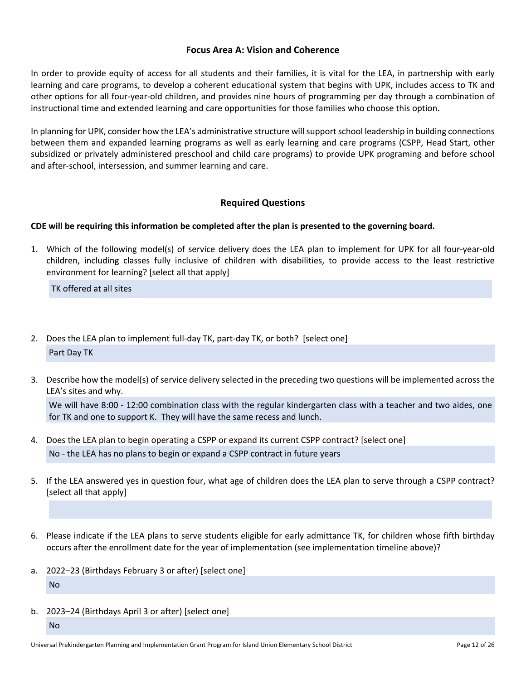#### <span id="page-11-0"></span>**Focus Area A: Vision and Coherence**

In order to provide equity of access for all students and their families, it is vital for the LEA, in partnership with early learning and care programs, to develop a coherent educational system that begins with UPK, includes access to TK and other options for all four-year-old children, and provides nine hours of programming per day through a combination of instructional time and extended learning and care opportunities for those families who choose this option.

In planning for UPK, consider how the LEA's administrative structure will support school leadership in building connections between them and expanded learning programs as well as early learning and care programs (CSPP, Head Start, other subsidized or privately administered preschool and child care programs) to provide UPK programing and before school and after-school, intersession, and summer learning and care.

## <span id="page-11-1"></span>**Required Questions**

#### **CDE will be requiring this information be completed after the plan is presented to the governing board.**

1. Which of the following model(s) of service delivery does the LEA plan to implement for UPK for all four-year-old children, including classes fully inclusive of children with disabilities, to provide access to the least restrictive environment for learning? [select all that apply]

TK offered at all sites

- 2. Does the LEA plan to implement full-day TK, part-day TK, or both? [select one] Part Day TK
- 3. Describe how the model(s) of service delivery selected in the preceding two questions will be implemented across the LEA's sites and why.

We will have 8:00 - 12:00 combination class with the regular kindergarten class with a teacher and two aides, one for TK and one to support K. They will have the same recess and lunch.

- 4. Does the LEA plan to begin operating a CSPP or expand its current CSPP contract? [select one] No - the LEA has no plans to begin or expand a CSPP contract in future years
- 5. If the LEA answered yes in question four, what age of children does the LEA plan to serve through a CSPP contract? [select all that apply]
- 6. Please indicate if the LEA plans to serve students eligible for early admittance TK, for children whose fifth birthday occurs after the enrollment date for the year of implementation (see implementation timeline above)?
- a. 2022–23 (Birthdays February 3 or after) [select one] No
- b. 2023–24 (Birthdays April 3 or after) [select one] No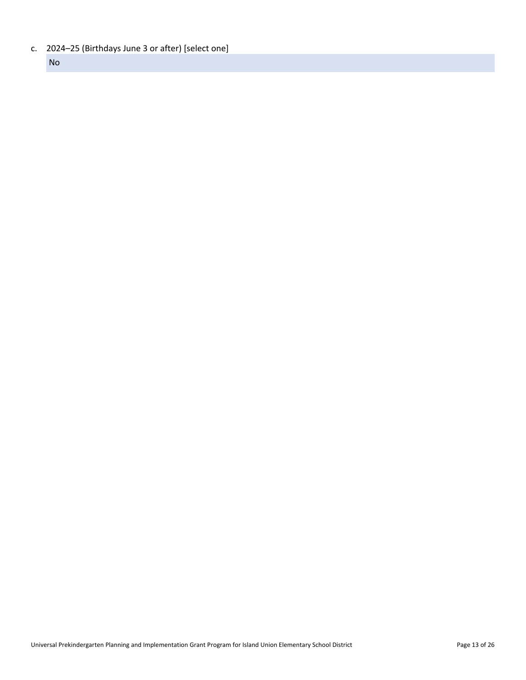c. 2024–25 (Birthdays June 3 or after) [select one]

No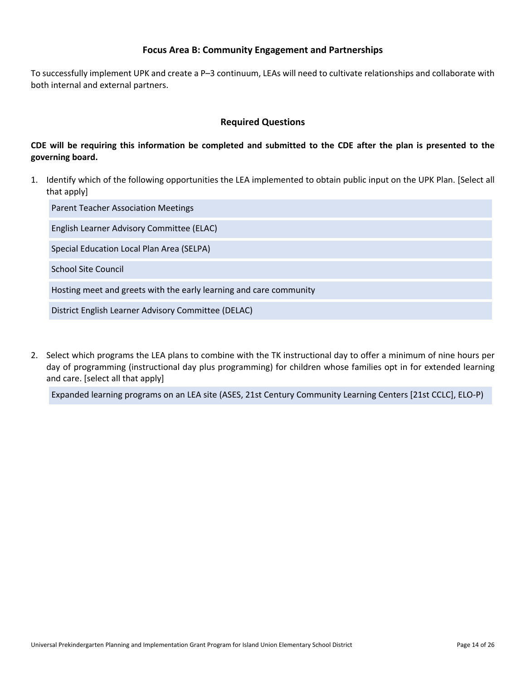## <span id="page-13-0"></span>**Focus Area B: Community Engagement and Partnerships**

To successfully implement UPK and create a P–3 continuum, LEAs will need to cultivate relationships and collaborate with both internal and external partners.

#### <span id="page-13-1"></span>**Required Questions**

#### **CDE will be requiring this information be completed and submitted to the CDE after the plan is presented to the governing board.**

1. Identify which of the following opportunities the LEA implemented to obtain public input on the UPK Plan. [Select all that apply]

Parent Teacher Association Meetings English Learner Advisory Committee (ELAC) Special Education Local Plan Area (SELPA) School Site Council Hosting meet and greets with the early learning and care community District English Learner Advisory Committee (DELAC)

2. Select which programs the LEA plans to combine with the TK instructional day to offer a minimum of nine hours per day of programming (instructional day plus programming) for children whose families opt in for extended learning and care. [select all that apply]

Expanded learning programs on an LEA site (ASES, 21st Century Community Learning Centers [21st CCLC], ELO-P)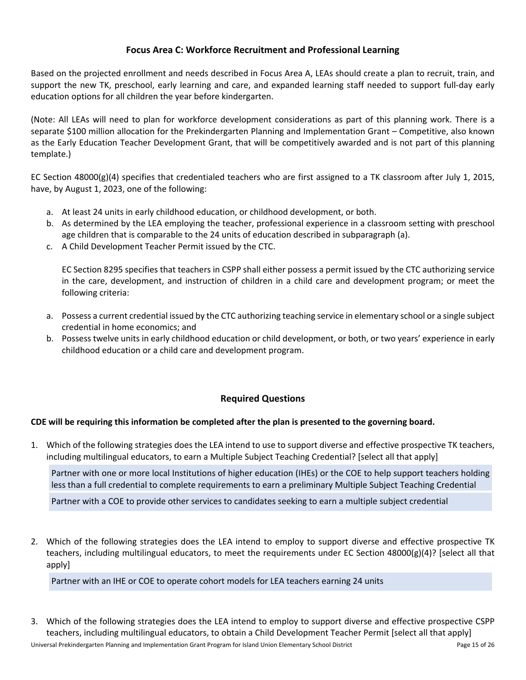# <span id="page-14-0"></span>**Focus Area C: Workforce Recruitment and Professional Learning**

Based on the projected enrollment and needs described in Focus Area A, LEAs should create a plan to recruit, train, and support the new TK, preschool, early learning and care, and expanded learning staff needed to support full-day early education options for all children the year before kindergarten.

(Note: All LEAs will need to plan for workforce development considerations as part of this planning work. There is a separate \$100 million allocation for the Prekindergarten Planning and Implementation Grant – Competitive, also known as the Early Education Teacher Development Grant, that will be competitively awarded and is not part of this planning template.)

EC Section 48000(g)(4) specifies that credentialed teachers who are first assigned to a TK classroom after July 1, 2015, have, by August 1, 2023, one of the following:

- a. At least 24 units in early childhood education, or childhood development, or both.
- b. As determined by the LEA employing the teacher, professional experience in a classroom setting with preschool age children that is comparable to the 24 units of education described in subparagraph (a).
- c. A Child Development Teacher Permit issued by the CTC.

EC Section 8295 specifies that teachers in CSPP shall either possess a permit issued by the CTC authorizing service in the care, development, and instruction of children in a child care and development program; or meet the following criteria:

- a. Possess a current credential issued by the CTC authorizing teaching service in elementary school or a single subject credential in home economics; and
- b. Possess twelve units in early childhood education or child development, or both, or two years' experience in early childhood education or a child care and development program.

# <span id="page-14-1"></span>**Required Questions**

#### **CDE will be requiring this information be completed after the plan is presented to the governing board.**

1. Which of the following strategies does the LEA intend to use to support diverse and effective prospective TK teachers, including multilingual educators, to earn a Multiple Subject Teaching Credential? [select all that apply]

Partner with one or more local Institutions of higher education (IHEs) or the COE to help support teachers holding less than a full credential to complete requirements to earn a preliminary Multiple Subject Teaching Credential

Partner with a COE to provide other services to candidates seeking to earn a multiple subject credential

2. Which of the following strategies does the LEA intend to employ to support diverse and effective prospective TK teachers, including multilingual educators, to meet the requirements under EC Section 48000(g)(4)? [select all that apply]

Partner with an IHE or COE to operate cohort models for LEA teachers earning 24 units

Universal Prekindergarten Planning and Implementation Grant Program for Island Union Elementary School District Page 15 of 26 Page 15 of 26 3. Which of the following strategies does the LEA intend to employ to support diverse and effective prospective CSPP teachers, including multilingual educators, to obtain a Child Development Teacher Permit [select all that apply]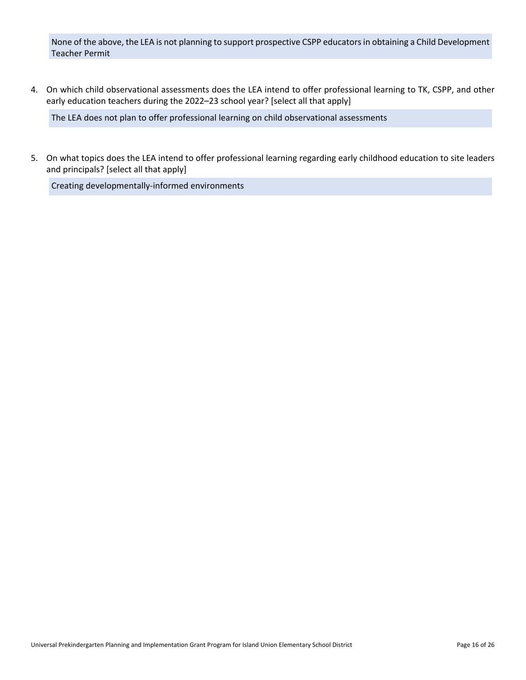None of the above, the LEA is not planning to support prospective CSPP educators in obtaining a Child Development Teacher Permit

4. On which child observational assessments does the LEA intend to offer professional learning to TK, CSPP, and other early education teachers during the 2022–23 school year? [select all that apply]

The LEA does not plan to offer professional learning on child observational assessments

5. On what topics does the LEA intend to offer professional learning regarding early childhood education to site leaders and principals? [select all that apply]

Creating developmentally-informed environments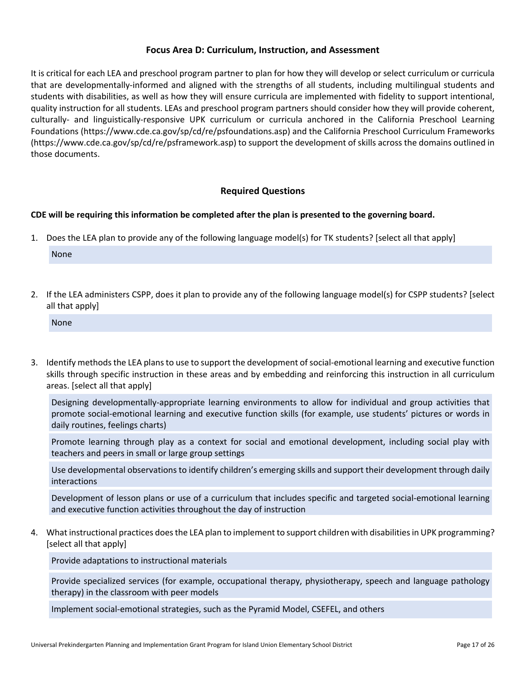## <span id="page-16-0"></span>**Focus Area D: Curriculum, Instruction, and Assessment**

It is critical for each LEA and preschool program partner to plan for how they will develop or select curriculum or curricula that are developmentally-informed and aligned with the strengths of all students, including multilingual students and students with disabilities, as well as how they will ensure curricula are implemented with fidelity to support intentional, quality instruction for all students. LEAs and preschool program partners should consider how they will provide coherent, culturally- and linguistically-responsive UPK curriculum or curricula anchored in the California Preschool Learning Foundations (https://www.cde.ca.gov/sp/cd/re/psfoundations.asp) and the California Preschool Curriculum Frameworks (https://www.cde.ca.gov/sp/cd/re/psframework.asp) to support the development of skills across the domains outlined in those documents.

## <span id="page-16-1"></span>**Required Questions**

#### **CDE will be requiring this information be completed after the plan is presented to the governing board.**

1. Does the LEA plan to provide any of the following language model(s) for TK students? [select all that apply]

None

2. If the LEA administers CSPP, does it plan to provide any of the following language model(s) for CSPP students? [select all that apply]

None

3. Identify methods the LEA plans to use to support the development of social-emotional learning and executive function skills through specific instruction in these areas and by embedding and reinforcing this instruction in all curriculum areas. [select all that apply]

Designing developmentally-appropriate learning environments to allow for individual and group activities that promote social-emotional learning and executive function skills (for example, use students' pictures or words in daily routines, feelings charts)

Promote learning through play as a context for social and emotional development, including social play with teachers and peers in small or large group settings

Use developmental observations to identify children's emerging skills and support their development through daily interactions

Development of lesson plans or use of a curriculum that includes specific and targeted social-emotional learning and executive function activities throughout the day of instruction

4. What instructional practices does the LEA plan to implement to support children with disabilities in UPK programming? [select all that apply]

Provide adaptations to instructional materials

Provide specialized services (for example, occupational therapy, physiotherapy, speech and language pathology therapy) in the classroom with peer models

Implement social-emotional strategies, such as the Pyramid Model, CSEFEL, and others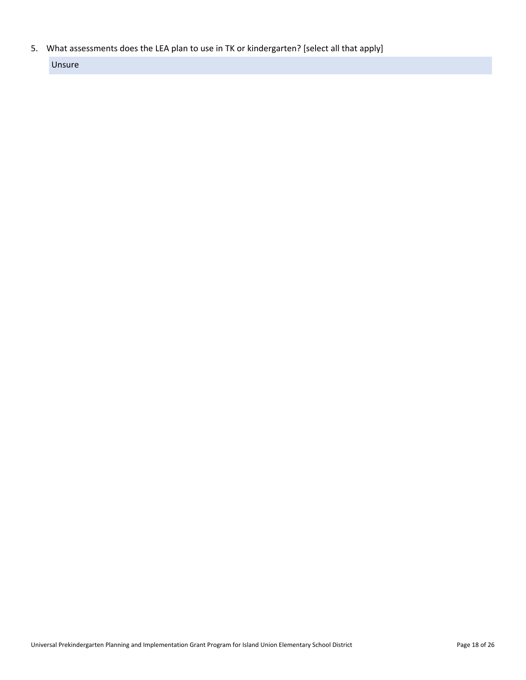5. What assessments does the LEA plan to use in TK or kindergarten? [select all that apply]

Unsure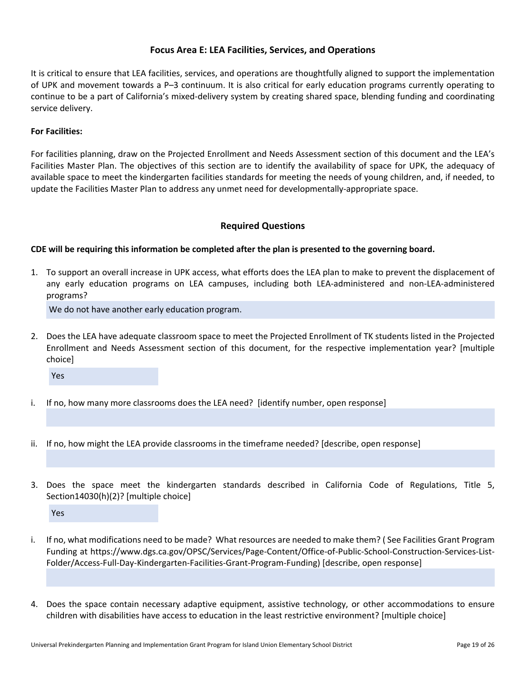## <span id="page-18-0"></span>**Focus Area E: LEA Facilities, Services, and Operations**

It is critical to ensure that LEA facilities, services, and operations are thoughtfully aligned to support the implementation of UPK and movement towards a P–3 continuum. It is also critical for early education programs currently operating to continue to be a part of California's mixed-delivery system by creating shared space, blending funding and coordinating service delivery.

#### **For Facilities:**

For facilities planning, draw on the Projected Enrollment and Needs Assessment section of this document and the LEA's Facilities Master Plan. The objectives of this section are to identify the availability of space for UPK, the adequacy of available space to meet the kindergarten facilities standards for meeting the needs of young children, and, if needed, to update the Facilities Master Plan to address any unmet need for developmentally-appropriate space.

#### <span id="page-18-1"></span>**Required Questions**

#### **CDE will be requiring this information be completed after the plan is presented to the governing board.**

1. To support an overall increase in UPK access, what efforts does the LEA plan to make to prevent the displacement of any early education programs on LEA campuses, including both LEA-administered and non-LEA-administered programs?

We do not have another early education program.

2. Does the LEA have adequate classroom space to meet the Projected Enrollment of TK students listed in the Projected Enrollment and Needs Assessment section of this document, for the respective implementation year? [multiple choice]

Yes

- i. If no, how many more classrooms does the LEA need? [identify number, open response]
- ii. If no, how might the LEA provide classrooms in the timeframe needed? [describe, open response]
- 3. Does the space meet the kindergarten standards described in California Code of Regulations, Title 5, Section14030(h)(2)? [multiple choice]

Yes

- i. If no, what modifications need to be made? What resources are needed to make them? ( See Facilities Grant Program Funding at https://www.dgs.ca.gov/OPSC/Services/Page-Content/Office-of-Public-School-Construction-Services-List-Folder/Access-Full-Day-Kindergarten-Facilities-Grant-Program-Funding) [describe, open response]
- 4. Does the space contain necessary adaptive equipment, assistive technology, or other accommodations to ensure children with disabilities have access to education in the least restrictive environment? [multiple choice]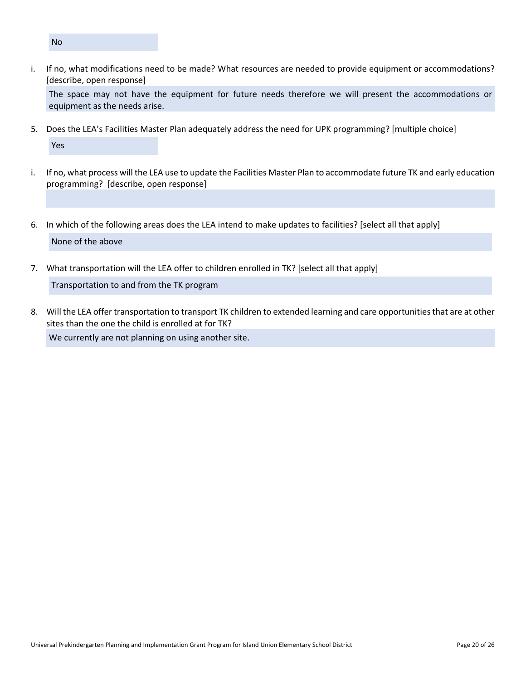No

i. If no, what modifications need to be made? What resources are needed to provide equipment or accommodations? [describe, open response]

The space may not have the equipment for future needs therefore we will present the accommodations or equipment as the needs arise.

- 5. Does the LEA's Facilities Master Plan adequately address the need for UPK programming? [multiple choice] Yes
- i. If no, what process will the LEA use to update the Facilities Master Plan to accommodate future TK and early education programming? [describe, open response]
- 6. In which of the following areas does the LEA intend to make updates to facilities? [select all that apply] None of the above
- 7. What transportation will the LEA offer to children enrolled in TK? [select all that apply] Transportation to and from the TK program
- 8. Will the LEA offer transportation to transport TK children to extended learning and care opportunities that are at other sites than the one the child is enrolled at for TK? We currently are not planning on using another site.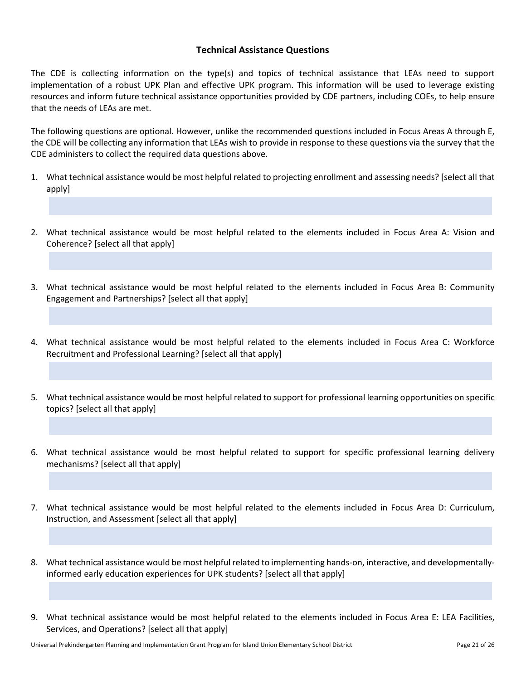## <span id="page-20-0"></span>**Technical Assistance Questions**

The CDE is collecting information on the type(s) and topics of technical assistance that LEAs need to support implementation of a robust UPK Plan and effective UPK program. This information will be used to leverage existing resources and inform future technical assistance opportunities provided by CDE partners, including COEs, to help ensure that the needs of LEAs are met.

The following questions are optional. However, unlike the recommended questions included in Focus Areas A through E, the CDE will be collecting any information that LEAs wish to provide in response to these questions via the survey that the CDE administers to collect the required data questions above.

- 1. What technical assistance would be most helpful related to projecting enrollment and assessing needs? [select all that apply]
- 2. What technical assistance would be most helpful related to the elements included in Focus Area A: Vision and Coherence? [select all that apply]
- 3. What technical assistance would be most helpful related to the elements included in Focus Area B: Community Engagement and Partnerships? [select all that apply]
- 4. What technical assistance would be most helpful related to the elements included in Focus Area C: Workforce Recruitment and Professional Learning? [select all that apply]
- 5. What technical assistance would be most helpful related to support for professional learning opportunities on specific topics? [select all that apply]
- 6. What technical assistance would be most helpful related to support for specific professional learning delivery mechanisms? [select all that apply]
- 7. What technical assistance would be most helpful related to the elements included in Focus Area D: Curriculum, Instruction, and Assessment [select all that apply]
- 8. What technical assistance would be most helpful related to implementing hands-on, interactive, and developmentallyinformed early education experiences for UPK students? [select all that apply]
- 9. What technical assistance would be most helpful related to the elements included in Focus Area E: LEA Facilities, Services, and Operations? [select all that apply]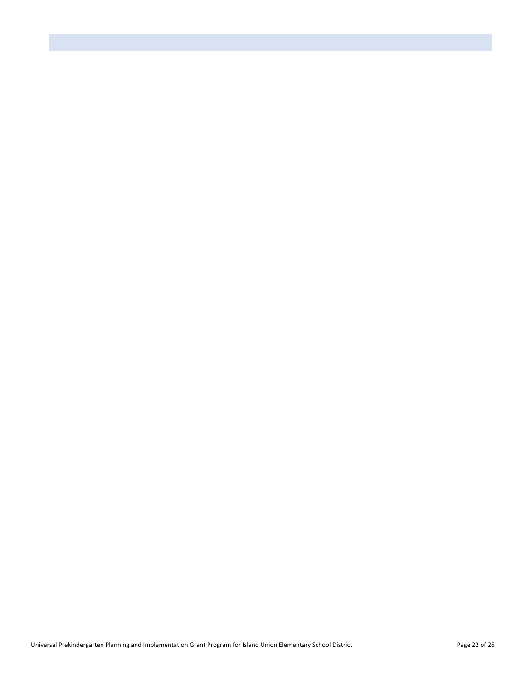Universal Prekindergarten Planning and Implementation Grant Program for Island Union Elementary School District Page 22 of 26 Page 22 of 26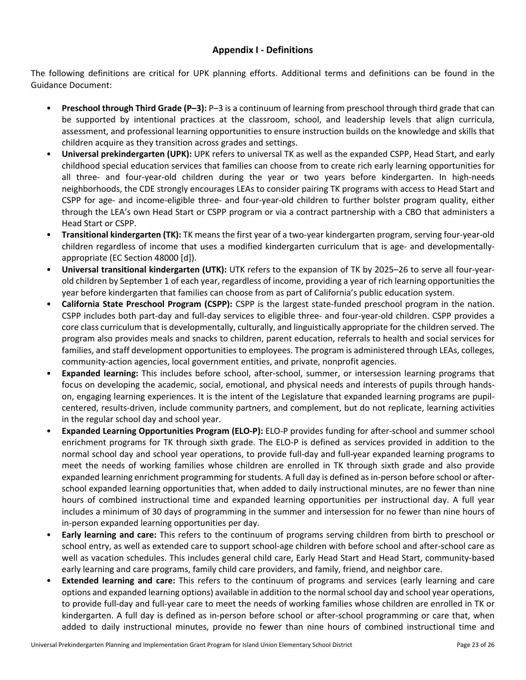## <span id="page-22-0"></span>**Appendix I - Definitions**

The following definitions are critical for UPK planning efforts. Additional terms and definitions can be found in the Guidance Document:

- **Preschool through Third Grade (P–3):** P–3 is a continuum of learning from preschool through third grade that can be supported by intentional practices at the classroom, school, and leadership levels that align curricula, assessment, and professional learning opportunities to ensure instruction builds on the knowledge and skills that children acquire as they transition across grades and settings.
- **Universal prekindergarten (UPK):** UPK refers to universal TK as well as the expanded CSPP, Head Start, and early childhood special education services that families can choose from to create rich early learning opportunities for all three- and four-year-old children during the year or two years before kindergarten. In high-needs neighborhoods, the CDE strongly encourages LEAs to consider pairing TK programs with access to Head Start and CSPP for age- and income-eligible three- and four-year-old children to further bolster program quality, either through the LEA's own Head Start or CSPP program or via a contract partnership with a CBO that administers a Head Start or CSPP.
- **Transitional kindergarten (TK):** TK means the first year of a two-year kindergarten program, serving four-year-old children regardless of income that uses a modified kindergarten curriculum that is age- and developmentallyappropriate (EC Section 48000 [d]).
- **Universal transitional kindergarten (UTK):** UTK refers to the expansion of TK by 2025–26 to serve all four-yearold children by September 1 of each year, regardless of income, providing a year of rich learning opportunities the year before kindergarten that families can choose from as part of California's public education system.
- **California State Preschool Program (CSPP):** CSPP is the largest state-funded preschool program in the nation. CSPP includes both part-day and full-day services to eligible three- and four-year-old children. CSPP provides a core class curriculum that is developmentally, culturally, and linguistically appropriate for the children served. The program also provides meals and snacks to children, parent education, referrals to health and social services for families, and staff development opportunities to employees. The program is administered through LEAs, colleges, community-action agencies, local government entities, and private, nonprofit agencies.
- **Expanded learning:** This includes before school, after-school, summer, or intersession learning programs that focus on developing the academic, social, emotional, and physical needs and interests of pupils through handson, engaging learning experiences. It is the intent of the Legislature that expanded learning programs are pupilcentered, results-driven, include community partners, and complement, but do not replicate, learning activities in the regular school day and school year.
- **Expanded Learning Opportunities Program (ELO-P):** ELO-P provides funding for after-school and summer school enrichment programs for TK through sixth grade. The ELO-P is defined as services provided in addition to the normal school day and school year operations, to provide full-day and full-year expanded learning programs to meet the needs of working families whose children are enrolled in TK through sixth grade and also provide expanded learning enrichment programming for students. A full day is defined as in-person before school or afterschool expanded learning opportunities that, when added to daily instructional minutes, are no fewer than nine hours of combined instructional time and expanded learning opportunities per instructional day. A full year includes a minimum of 30 days of programming in the summer and intersession for no fewer than nine hours of in-person expanded learning opportunities per day.
- **Early learning and care:** This refers to the continuum of programs serving children from birth to preschool or school entry, as well as extended care to support school-age children with before school and after-school care as well as vacation schedules. This includes general child care, Early Head Start and Head Start, community-based early learning and care programs, family child care providers, and family, friend, and neighbor care.
- **Extended learning and care:** This refers to the continuum of programs and services (early learning and care options and expanded learning options) available in addition to the normal school day and school year operations, to provide full-day and full-year care to meet the needs of working families whose children are enrolled in TK or kindergarten. A full day is defined as in-person before school or after-school programming or care that, when added to daily instructional minutes, provide no fewer than nine hours of combined instructional time and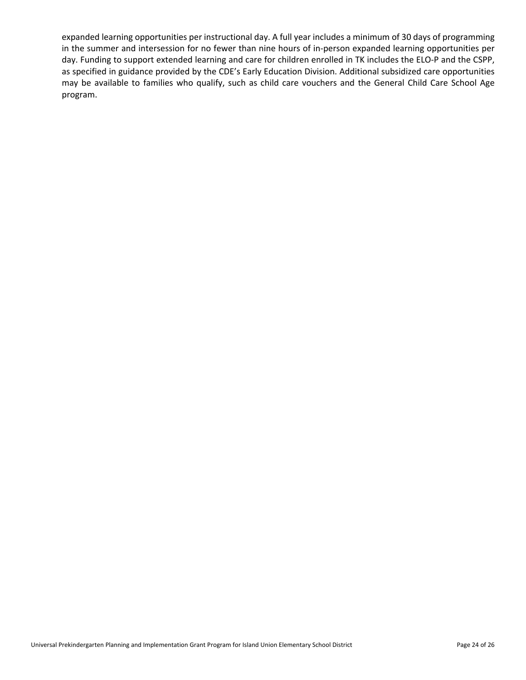expanded learning opportunities per instructional day. A full year includes a minimum of 30 days of programming in the summer and intersession for no fewer than nine hours of in-person expanded learning opportunities per day. Funding to support extended learning and care for children enrolled in TK includes the ELO-P and the CSPP, as specified in guidance provided by the CDE's Early Education Division. Additional subsidized care opportunities may be available to families who qualify, such as child care vouchers and the General Child Care School Age program.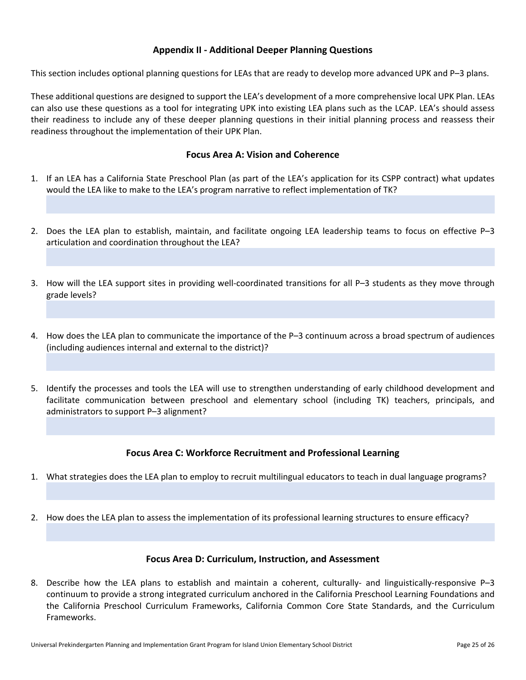## <span id="page-24-0"></span>**Appendix II - Additional Deeper Planning Questions**

This section includes optional planning questions for LEAs that are ready to develop more advanced UPK and P–3 plans.

These additional questions are designed to support the LEA's development of a more comprehensive local UPK Plan. LEAs can also use these questions as a tool for integrating UPK into existing LEA plans such as the LCAP. LEA's should assess their readiness to include any of these deeper planning questions in their initial planning process and reassess their readiness throughout the implementation of their UPK Plan.

# <span id="page-24-1"></span>**Focus Area A: Vision and Coherence**

- 1. If an LEA has a California State Preschool Plan (as part of the LEA's application for its CSPP contract) what updates would the LEA like to make to the LEA's program narrative to reflect implementation of TK?
- 2. Does the LEA plan to establish, maintain, and facilitate ongoing LEA leadership teams to focus on effective P–3 articulation and coordination throughout the LEA?
- 3. How will the LEA support sites in providing well-coordinated transitions for all P–3 students as they move through grade levels?
- 4. How does the LEA plan to communicate the importance of the P–3 continuum across a broad spectrum of audiences (including audiences internal and external to the district)?
- 5. Identify the processes and tools the LEA will use to strengthen understanding of early childhood development and facilitate communication between preschool and elementary school (including TK) teachers, principals, and administrators to support P–3 alignment?

#### <span id="page-24-2"></span>**Focus Area C: Workforce Recruitment and Professional Learning**

- 1. What strategies does the LEA plan to employ to recruit multilingual educators to teach in dual language programs?
- 2. How does the LEA plan to assess the implementation of its professional learning structures to ensure efficacy?

#### <span id="page-24-3"></span>**Focus Area D: Curriculum, Instruction, and Assessment**

8. Describe how the LEA plans to establish and maintain a coherent, culturally- and linguistically-responsive P–3 continuum to provide a strong integrated curriculum anchored in the California Preschool Learning Foundations and the California Preschool Curriculum Frameworks, California Common Core State Standards, and the Curriculum Frameworks.